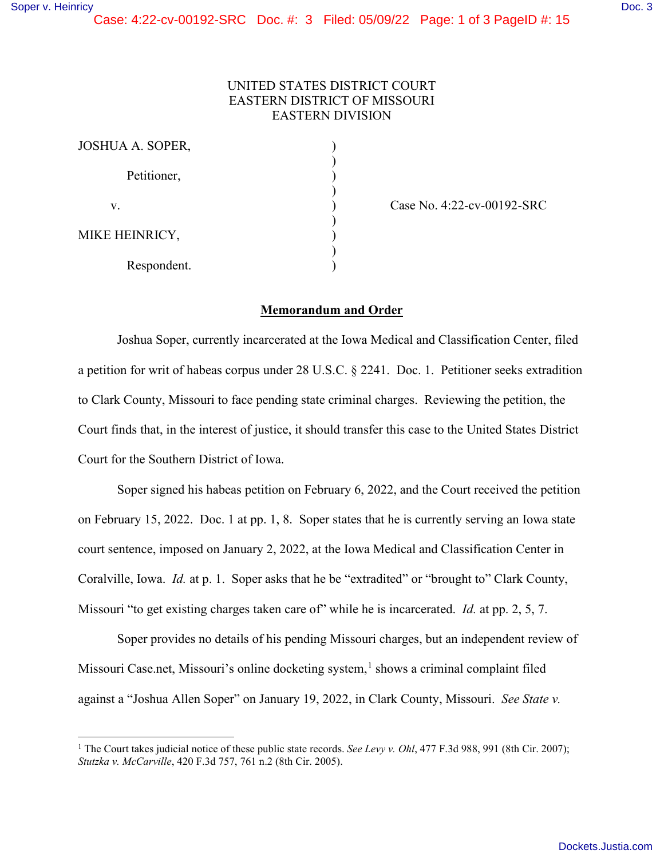## UNITED STATES DISTRICT COURT EASTERN DISTRICT OF MISSOURI EASTERN DIVISION

| JOSHUA A. SOPER, |  |
|------------------|--|
| Petitioner,      |  |
| V.               |  |
| MIKE HEINRICY,   |  |
| Respondent.      |  |

Case No. 4:22-cv-00192-SRC

## **Memorandum and Order**

Joshua Soper, currently incarcerated at the Iowa Medical and Classification Center, filed a petition for writ of habeas corpus under 28 U.S.C. § 2241. Doc. 1. Petitioner seeks extradition to Clark County, Missouri to face pending state criminal charges. Reviewing the petition, the Court finds that, in the interest of justice, it should transfer this case to the United States District Court for the Southern District of Iowa.

Soper signed his habeas petition on February 6, 2022, and the Court received the petition on February 15, 2022. Doc. 1 at pp. 1, 8. Soper states that he is currently serving an Iowa state court sentence, imposed on January 2, 2022, at the Iowa Medical and Classification Center in Coralville, Iowa. *Id.* at p. 1. Soper asks that he be "extradited" or "brought to" Clark County, Missouri "to get existing charges taken care of" while he is incarcerated. *Id.* at pp. 2, 5, 7.

Soper provides no details of his pending Missouri charges, but an independent review of Missouri Case.net, Missouri's online docketing system,<sup>[1](#page-0-0)</sup> shows a criminal complaint filed against a "Joshua Allen Soper" on January 19, 2022, in Clark County, Missouri. *See State v.* 

<span id="page-0-0"></span><sup>&</sup>lt;sup>1</sup> The Court takes judicial notice of these public state records. *See Levy v. Ohl*, 477 F.3d 988, 991 (8th Cir. 2007); *Stutzka v. McCarville*, 420 F.3d 757, 761 n.2 (8th Cir. 2005).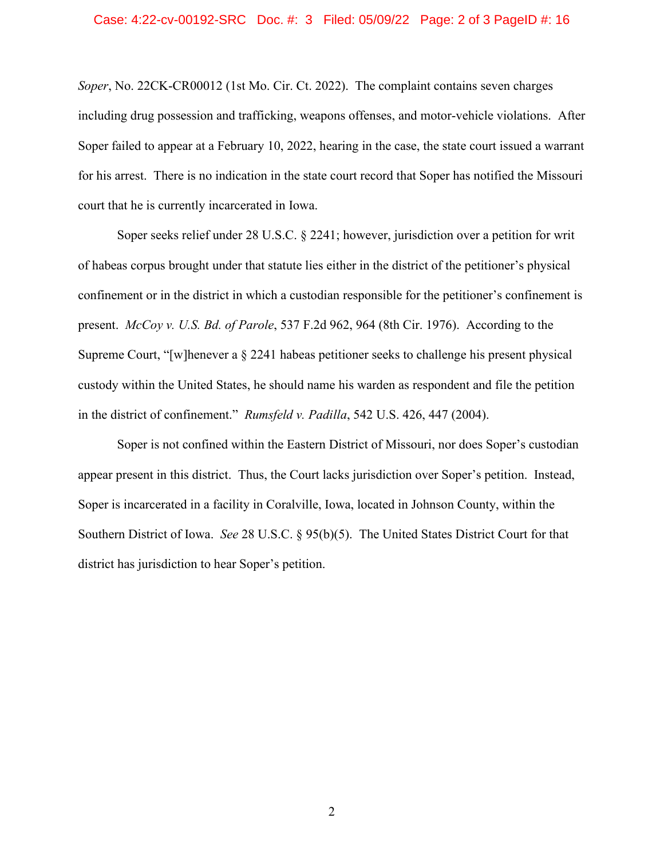## Case: 4:22-cv-00192-SRC Doc. #: 3 Filed: 05/09/22 Page: 2 of 3 PageID #: 16

*Soper*, No. 22CK-CR00012 (1st Mo. Cir. Ct. 2022). The complaint contains seven charges including drug possession and trafficking, weapons offenses, and motor-vehicle violations. After Soper failed to appear at a February 10, 2022, hearing in the case, the state court issued a warrant for his arrest. There is no indication in the state court record that Soper has notified the Missouri court that he is currently incarcerated in Iowa.

Soper seeks relief under 28 U.S.C. § 2241; however, jurisdiction over a petition for writ of habeas corpus brought under that statute lies either in the district of the petitioner's physical confinement or in the district in which a custodian responsible for the petitioner's confinement is present. *McCoy v. U.S. Bd. of Parole*, 537 F.2d 962, 964 (8th Cir. 1976). According to the Supreme Court, "[w]henever a § 2241 habeas petitioner seeks to challenge his present physical custody within the United States, he should name his warden as respondent and file the petition in the district of confinement." *Rumsfeld v. Padilla*, 542 U.S. 426, 447 (2004).

Soper is not confined within the Eastern District of Missouri, nor does Soper's custodian appear present in this district. Thus, the Court lacks jurisdiction over Soper's petition. Instead, Soper is incarcerated in a facility in Coralville, Iowa, located in Johnson County, within the Southern District of Iowa. *See* 28 U.S.C. § 95(b)(5). The United States District Court for that district has jurisdiction to hear Soper's petition.

2